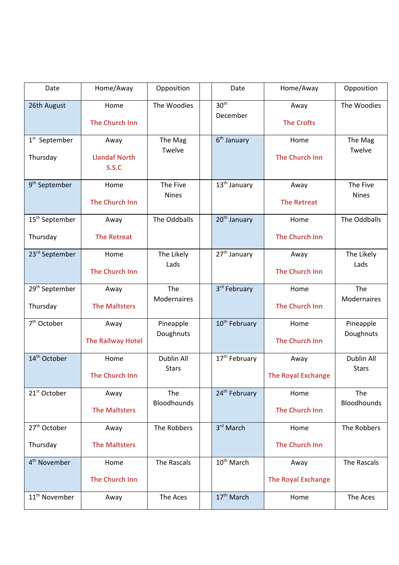| Date                                   | Home/Away                             | Opposition                 | Date                         | Home/Away                         | Opposition                 |
|----------------------------------------|---------------------------------------|----------------------------|------------------------------|-----------------------------------|----------------------------|
| 26th August                            | Home<br><b>The Church Inn</b>         | The Woodies                | 30 <sup>th</sup><br>December | Away<br><b>The Crofts</b>         | The Woodies                |
| $1st$ September<br>Thursday            | Away<br><b>Llandaf North</b><br>S.S.C | The Mag<br>Twelve          | $6th$ January                | Home<br><b>The Church Inn</b>     | The Mag<br>Twelve          |
| 9 <sup>th</sup> September              | Home<br><b>The Church Inn</b>         | The Five<br><b>Nines</b>   | 13 <sup>th</sup> January     | Away<br><b>The Retreat</b>        | The Five<br><b>Nines</b>   |
| 15 <sup>th</sup> September             | Away                                  | The Oddballs               | 20 <sup>th</sup> January     | Home                              | The Oddballs               |
| Thursday                               | <b>The Retreat</b>                    |                            |                              | <b>The Church Inn</b>             |                            |
| 23rd September                         | Home<br><b>The Church Inn</b>         | The Likely<br>Lads         | 27 <sup>th</sup> January     | Away<br><b>The Church Inn</b>     | The Likely<br>Lads         |
| 29 <sup>th</sup> September<br>Thursday | Away<br><b>The Maltsters</b>          | The<br><b>Modernaires</b>  | 3rd February                 | Home<br><b>The Church Inn</b>     | The<br>Modernaires         |
| 7 <sup>th</sup> October                | Away<br><b>The Railway Hotel</b>      | Pineapple<br>Doughnuts     | 10 <sup>th</sup> February    | Home<br><b>The Church Inn</b>     | Pineapple<br>Doughnuts     |
| 14 <sup>th</sup> October               | Home<br><b>The Church Inn</b>         | Dublin All<br><b>Stars</b> | 17 <sup>th</sup> February    | Away<br><b>The Royal Exchange</b> | Dublin All<br><b>Stars</b> |
| 21 <sup>st</sup> October               | Away<br><b>The Maltsters</b>          | The<br>Bloodhounds         | 24 <sup>th</sup> February    | Home<br><b>The Church Inn</b>     | The<br>Bloodhounds         |
| 27 <sup>th</sup> October               | Away                                  | The Robbers                | 3rd March                    | Home                              | The Robbers                |
| Thursday                               | <b>The Maltsters</b>                  |                            |                              | <b>The Church Inn</b>             |                            |
| 4 <sup>th</sup> November               | Home<br><b>The Church Inn</b>         | The Rascals                | 10 <sup>th</sup> March       | Away<br><b>The Royal Exchange</b> | The Rascals                |
| 11 <sup>th</sup> November              | Away                                  | The Aces                   | 17 <sup>th</sup> March       | Home                              | The Aces                   |